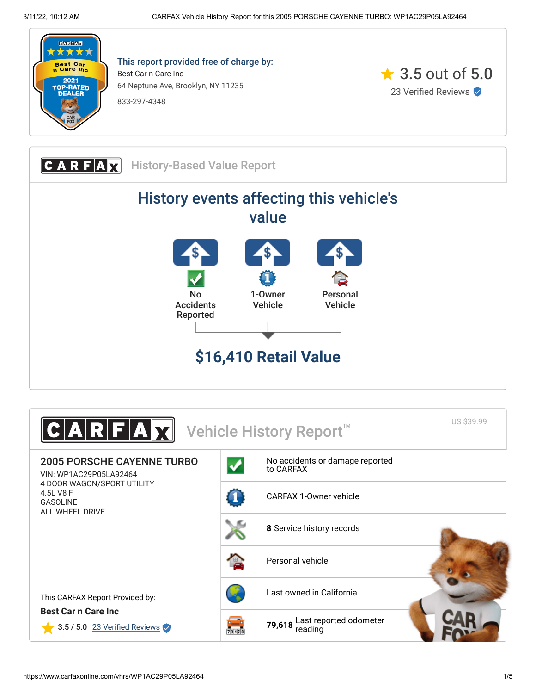

This report provided free of charge by: Best Car n Care Inc 64 Neptune Ave, Brooklyn, NY 11235 833-297-4348





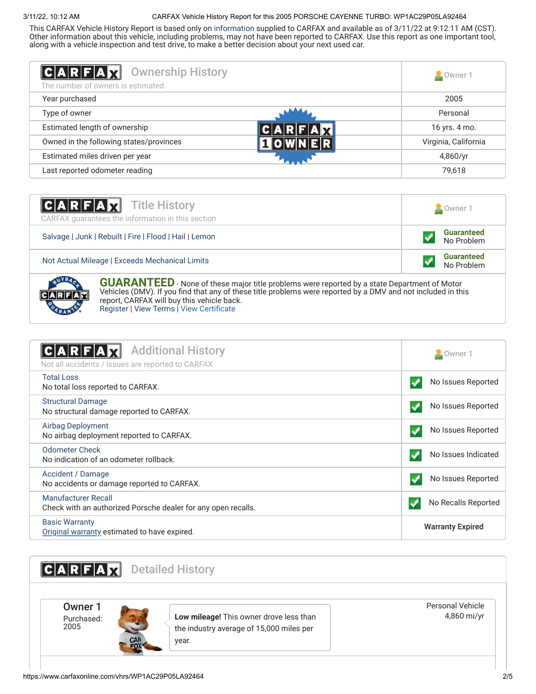## 3/11/22, 10:12 AM CARFAX Vehicle History Report for this 2005 PORSCHE CAYENNE TURBO: WP1AC29P05LA92464

This CARFAX Vehicle History Report is based only on [information](http://www.carfax.com/company/vhr-data-sources) supplied to CARFAX and available as of 3/11/22 at 9:12:11 AM (CST). Other information about this vehicle, including problems, may not have been reported to CARFAX. Use this report as one important tool, along with a vehicle inspection and test drive, to make a better decision about your next used car.

<span id="page-1-1"></span>

| C A R F A X <br><b>Ownership History</b><br>The number of owners is estimated | Owner 1              |
|-------------------------------------------------------------------------------|----------------------|
| Year purchased                                                                | 2005                 |
| Type of owner                                                                 | Personal             |
| Estimated length of ownership                                                 | 16 yrs. 4 mo.        |
| Owned in the following states/provinces                                       | Virginia, California |
| Estimated miles driven per year                                               | 4,860/yr             |
| Last reported odometer reading                                                | 79,618               |

| <b>CARFAX</b> Title History<br>CARFAX guarantees the information in this section | $\sim$ Owner 1                  |
|----------------------------------------------------------------------------------|---------------------------------|
| Salvage   Junk   Rebuilt   Fire   Flood   Hail   Lemon                           | <b>Guaranteed</b><br>No Problem |
| Not Actual Mileage   Exceeds Mechanical Limits                                   | <b>Guaranteed</b><br>No Problem |



**GUARANTEED** - None of these major title problems were reported by a state Department of Motor Vehicles (DMV). If you find that any of these title problems were reported by a DMV and not included in this report, CARFAX will buy this vehicle back. [Register](https://www.carfax.com/Service/bbg) | [View Terms](http://www.carfaxonline.com/legal/bbgTerms) | [View Certificate](https://www.carfaxonline.com/vhrs/WP1AC29P05LA92464)

<span id="page-1-0"></span>

| <b>Additional History</b><br>CARFA<br>Not all accidents / issues are reported to CARFAX     | Owner 1                 |
|---------------------------------------------------------------------------------------------|-------------------------|
| <b>Total Loss</b><br>No total loss reported to CARFAX.                                      | No Issues Reported      |
| <b>Structural Damage</b><br>No structural damage reported to CARFAX.                        | No Issues Reported      |
| <b>Airbag Deployment</b><br>No airbag deployment reported to CARFAX.                        | No Issues Reported      |
| <b>Odometer Check</b><br>No indication of an odometer rollback.                             | No Issues Indicated     |
| Accident / Damage<br>No accidents or damage reported to CARFAX.                             | No Issues Reported      |
| <b>Manufacturer Recall</b><br>Check with an authorized Porsche dealer for any open recalls. | No Recalls Reported     |
| <b>Basic Warranty</b><br>Original warranty estimated to have expired.                       | <b>Warranty Expired</b> |

<span id="page-1-2"></span>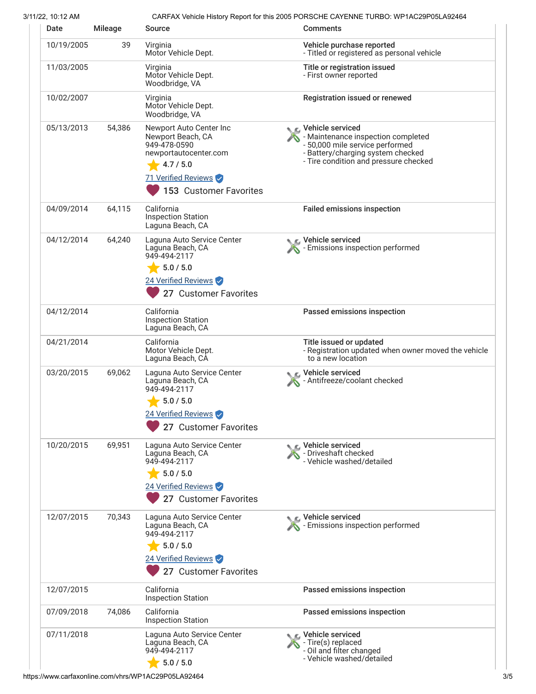| Date       | <b>Mileage</b> | Source                                                                                                                                              | <b>Comments</b>                                                                                                                                                           |
|------------|----------------|-----------------------------------------------------------------------------------------------------------------------------------------------------|---------------------------------------------------------------------------------------------------------------------------------------------------------------------------|
| 10/19/2005 | 39             | Virginia<br>Motor Vehicle Dept.                                                                                                                     | Vehicle purchase reported<br>- Titled or registered as personal vehicle                                                                                                   |
| 11/03/2005 |                | Virginia<br>Motor Vehicle Dept.<br>Woodbridge, VA                                                                                                   | Title or registration issued<br>- First owner reported                                                                                                                    |
| 10/02/2007 |                | Virginia<br>Motor Vehicle Dept.<br>Woodbridge, VA                                                                                                   | Registration issued or renewed                                                                                                                                            |
| 05/13/2013 | 54,386         | Newport Auto Center Inc<br>Newport Beach, CA<br>949-478-0590<br>newportautocenter.com<br>4.7 / 5.0<br>71 Verified Reviews<br>153 Customer Favorites | C Vehicle serviced<br>- Maintenance inspection completed<br>- 50,000 mile service performed<br>- Battery/charging system checked<br>- Tire condition and pressure checked |
| 04/09/2014 | 64,115         | California                                                                                                                                          | <b>Failed emissions inspection</b>                                                                                                                                        |
|            |                | <b>Inspection Station</b><br>Laguna Beach, CA                                                                                                       |                                                                                                                                                                           |
| 04/12/2014 | 64,240         | Laguna Auto Service Center<br>Laguna Beach, CA<br>949-494-2117<br>5.0 / 5.0<br>24 Verified Reviews<br>27 Customer Favorites                         | Vehicle serviced<br>Emissions inspection performed                                                                                                                        |
| 04/12/2014 |                | California<br><b>Inspection Station</b><br>Laguna Beach, CA                                                                                         | Passed emissions inspection                                                                                                                                               |
| 04/21/2014 |                | California<br>Motor Vehicle Dept.<br>Laguna Beach, CA                                                                                               | Title issued or updated<br>- Registration updated when owner moved the vehicle<br>to a new location                                                                       |
| 03/20/2015 | 69,062         | Laguna Auto Service Center<br>Laguna Beach, CA<br>949-494-2117<br>$\frac{1}{2}$ 5.0 / 5.0<br>24 Verified Reviews<br>27 Customer Favorites           | C Vehicle serviced<br>- Antifreeze/coolant checked                                                                                                                        |
| 10/20/2015 | 69,951         | Laguna Auto Service Center<br>Laguna Beach, CA<br>949-494-2117<br>5.0 / 5.0<br>24 Verified Reviews<br>27 Customer Favorites                         | Vehicle serviced<br>- Driveshaft checked<br>- Vehicle washed/detailed                                                                                                     |
| 12/07/2015 | 70,343         | Laguna Auto Service Center<br>Laguna Beach, CA<br>949-494-2117<br>5.0 / 5.0<br>24 Verified Reviews<br>27 Customer Favorites                         | Vehicle serviced<br>Emissions inspection performed                                                                                                                        |
| 12/07/2015 |                | California<br><b>Inspection Station</b>                                                                                                             | Passed emissions inspection                                                                                                                                               |
| 07/09/2018 | 74,086         | California<br><b>Inspection Station</b>                                                                                                             | Passed emissions inspection                                                                                                                                               |
| 07/11/2018 |                | Laguna Auto Service Center<br>Laguna Beach, CA<br>949-494-2117<br>5.0 / 5.0                                                                         | Vehicle serviced<br>- Tire(s) replaced<br>- Oil and filter changed<br>- Vehicle washed/detailed                                                                           |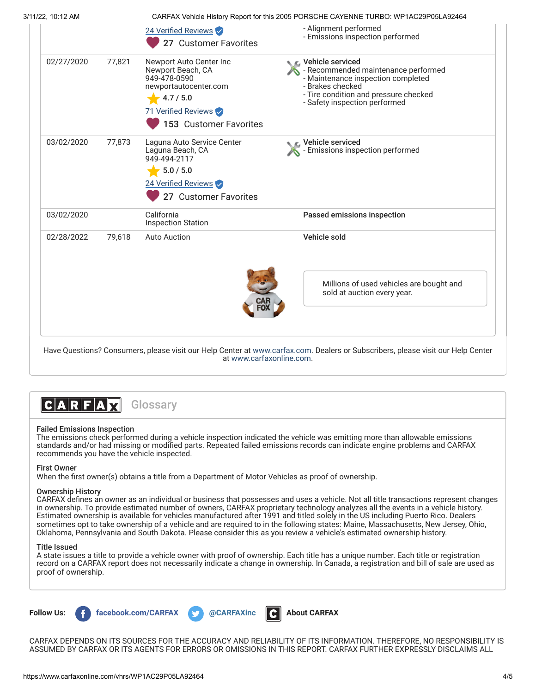3/11/22, 10:12 AM CARFAX Vehicle History Report for this 2005 PORSCHE CAYENNE TURBO: WP1AC29P05LA92464 24 Verified Reviews  $\sqrt{\phantom{a}}$  and  $\phantom{a}$  - Alignment performed - Emissions inspection performed 02/27/2020 77,821 Newport Auto Center Inc Newport Beach, CA 949-478-0590 newportautocenter.com 4.7 / 5.0 71 Verified Reviews **Vehicle serviced** - Recommended maintenance performed - Maintenance inspection completed - Brakes checked - Tire condition and pressure checked - Safety inspection performed 03/02/2020 77,873 Laguna Auto Service Center Laguna Beach, CA 949-494-2117 5.0 / 5.0 24 Verified Reviews Vehicle serviced - Emissions inspection performed 03/02/2020 California Inspection Station Passed emissions inspection 02/28/2022 79,618 Auto Auction Vehicle sold Millions of used vehicles are bought and sold at auction every year. Have Questions? Consumers, please visit our Help Center at [www.carfax.com](http://www.carfax.com/help). Dealers or Subscribers, please visit our Help Center at [www.carfaxonline.com.](http://www.carfaxonline.com/) <sup>27</sup> Customer Favorites <sup>153</sup> Customer Favorites <sup>27</sup> Customer Favorites



# Failed Emissions Inspection

The emissions check performed during a vehicle inspection indicated the vehicle was emitting more than allowable emissions standards and/or had missing or modified parts. Repeated failed emissions records can indicate engine problems and CARFAX recommends you have the vehicle inspected.

# First Owner

When the first owner(s) obtains a title from a Department of Motor Vehicles as proof of ownership.

### Ownership History

CARFAX defines an owner as an individual or business that possesses and uses a vehicle. Not all title transactions represent changes in ownership. To provide estimated number of owners, CARFAX proprietary technology analyzes all the events in a vehicle history. Estimated ownership is available for vehicles manufactured after 1991 and titled solely in the US including Puerto Rico. Dealers sometimes opt to take ownership of a vehicle and are required to in the following states: Maine, Massachusetts, New Jersey, Ohio, Oklahoma, Pennsylvania and South Dakota. Please consider this as you review a vehicle's estimated ownership history.

# Title Issued

A state issues a title to provide a vehicle owner with proof of ownership. Each title has a unique number. Each title or registration record on a CARFAX report does not necessarily indicate a change in ownership. In Canada, a registration and bill of sale are used as proof of ownership.



CARFAX DEPENDS ON ITS SOURCES FOR THE ACCURACY AND RELIABILITY OF ITS INFORMATION. THEREFORE, NO RESPONSIBILITY IS ASSUMED BY CARFAX OR ITS AGENTS FOR ERRORS OR OMISSIONS IN THIS REPORT. CARFAX FURTHER EXPRESSLY DISCLAIMS ALL